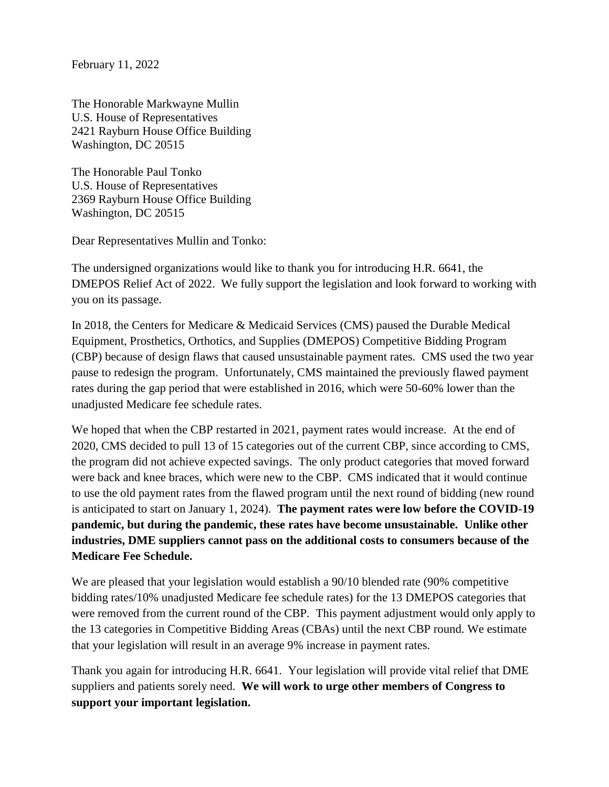February 11, 2022

The Honorable Markwayne Mullin U.S. House of Representatives 2421 Rayburn House Office Building Washington, DC 20515

The Honorable Paul Tonko U.S. House of Representatives 2369 Rayburn House Office Building Washington, DC 20515

Dear Representatives Mullin and Tonko:

The undersigned organizations would like to thank you for introducing H.R. 6641, the DMEPOS Relief Act of 2022. We fully support the legislation and look forward to working with you on its passage.

In 2018, the Centers for Medicare & Medicaid Services (CMS) paused the Durable Medical Equipment, Prosthetics, Orthotics, and Supplies (DMEPOS) Competitive Bidding Program (CBP) because of design flaws that caused unsustainable payment rates. CMS used the two year pause to redesign the program. Unfortunately, CMS maintained the previously flawed payment rates during the gap period that were established in 2016, which were 50-60% lower than the unadjusted Medicare fee schedule rates.

We hoped that when the CBP restarted in 2021, payment rates would increase. At the end of 2020, CMS decided to pull 13 of 15 categories out of the current CBP, since according to CMS, the program did not achieve expected savings. The only product categories that moved forward were back and knee braces, which were new to the CBP. CMS indicated that it would continue to use the old payment rates from the flawed program until the next round of bidding (new round is anticipated to start on January 1, 2024). **The payment rates were low before the COVID-19 pandemic, but during the pandemic, these rates have become unsustainable. Unlike other industries, DME suppliers cannot pass on the additional costs to consumers because of the Medicare Fee Schedule.**

We are pleased that your legislation would establish a 90/10 blended rate (90% competitive bidding rates/10% unadjusted Medicare fee schedule rates) for the 13 DMEPOS categories that were removed from the current round of the CBP. This payment adjustment would only apply to the 13 categories in Competitive Bidding Areas (CBAs) until the next CBP round. We estimate that your legislation will result in an average 9% increase in payment rates.

Thank you again for introducing H.R. 6641. Your legislation will provide vital relief that DME suppliers and patients sorely need. **We will work to urge other members of Congress to support your important legislation.**